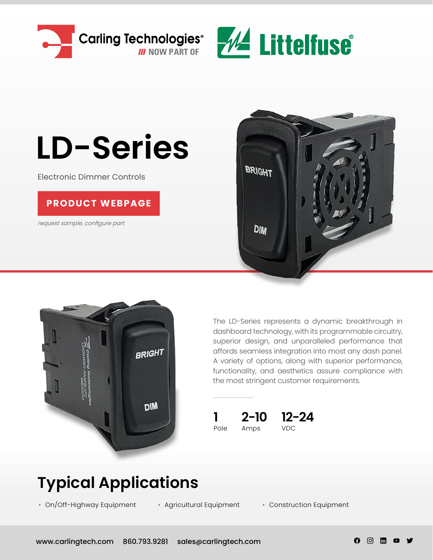



# **LD-Series**

Electronic Dimmer Controls

#### **[PRODUCT WEBPAGE](https://www.carlingtech.com/controls-ld-series)**

request sample, configure part





The LD-Series represents a dynamic breakthrough in dashboard technology, with its programmable circuitry, superior design, and unparalleled performance that affords seamless integration into most any dash panel. A variety of options, along with superior performance, functionality, and aesthetics assure compliance with the most stringent customer requirements.



### **Typical Applications**

**∙** On/Off-Highway Equipment

**∙** Agricultural Equipment **∙** Construction Equipment

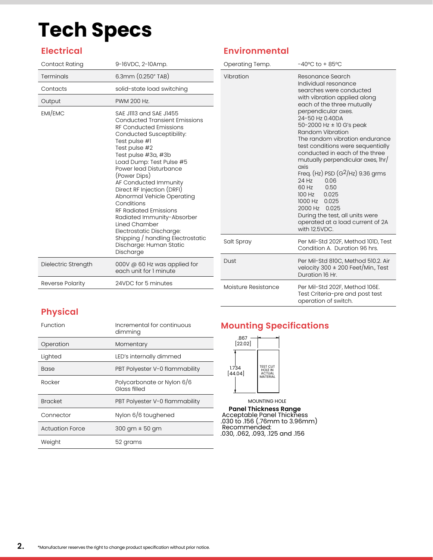### **Tech Specs**

#### **Electrical**

| Contact Rating      | 9-16VDC, 2-10Amp.                                                                                                                                                                                                                                                                                                                                                                                                                                                                                                                                       |
|---------------------|---------------------------------------------------------------------------------------------------------------------------------------------------------------------------------------------------------------------------------------------------------------------------------------------------------------------------------------------------------------------------------------------------------------------------------------------------------------------------------------------------------------------------------------------------------|
| Terminals           | 6.3mm (0.250" TAB)                                                                                                                                                                                                                                                                                                                                                                                                                                                                                                                                      |
| Contacts            | solid-state load switching                                                                                                                                                                                                                                                                                                                                                                                                                                                                                                                              |
| Output              | PWM 200 Hz.                                                                                                                                                                                                                                                                                                                                                                                                                                                                                                                                             |
| EMI/EMC             | SAE JIII3 and SAE J1455<br><b>Conducted Transient Emissions</b><br><b>RF Conducted Emissions</b><br>Conducted Susceptibility:<br>Test pulse #1<br>Test pulse #2<br>Test pulse #3a, #3b<br>Load Dump: Test Pulse #5<br>Power lead Disturbance<br>(Power Dips)<br>AF Conducted Immunity<br>Direct RF Injection (DRFI)<br>Abnormal Vehicle Operating<br>Conditions<br><b>RF Radiated Emissions</b><br>Radiated Immunity-Absorber<br>Lined Chamber<br>Electrostatic Discharge:<br>Shipping / handling Electrostatic<br>Discharge: Human Static<br>Discharge |
| Dielectric Strength | 000V @ 60 Hz was applied for<br>each unit for 1 minute                                                                                                                                                                                                                                                                                                                                                                                                                                                                                                  |
| Reverse Polarity    | 24VDC for 5 minutes                                                                                                                                                                                                                                                                                                                                                                                                                                                                                                                                     |

#### **Environmental**

| Operating Temp.     | $-40^{\circ}$ C to + 85 $^{\circ}$ C                                                                                                                                                                                                                                                                                                                                                                                                                                                                                                                                                               |  |  |  |  |
|---------------------|----------------------------------------------------------------------------------------------------------------------------------------------------------------------------------------------------------------------------------------------------------------------------------------------------------------------------------------------------------------------------------------------------------------------------------------------------------------------------------------------------------------------------------------------------------------------------------------------------|--|--|--|--|
| Vibration           | Resonance Search<br>Individual resonance<br>searches were conducted<br>with vibration applied along<br>each of the three mutually<br>perpendicular axes.<br>24-50 Hz 0.40DA<br>50-2000 Hz $\pm$ 10 G's peak<br>Random Vibration<br>The random vibration endurance<br>test conditions were sequentially<br>conducted in each of the three<br>mutually perpendicular axes, 1hr/<br>axis<br>Freq. (Hz) PSD $(G^2/Hz)$ 9.36 grms<br>24 Hz 0.06<br>60 Hz 0.50<br>100 Hz 0.025<br>1000 Hz 0.025<br>2000 Hz 0.025<br>During the test, all units were<br>operated at a load current of 2A<br>with 12.5VDC. |  |  |  |  |
| Salt Spray          | Per Mil-Std 202F, Method 101D, Test<br>Condition A. Duration 96 hrs.                                                                                                                                                                                                                                                                                                                                                                                                                                                                                                                               |  |  |  |  |
| Dust                | Per Mil-Std 810C, Method 510.2. Air<br>velocity 300 $\pm$ 200 Feet/Min., Test<br>Duration 16 Hr.                                                                                                                                                                                                                                                                                                                                                                                                                                                                                                   |  |  |  |  |
| Moisture Resistance | Per Mil-Std 202F, Method 106E.<br>Test Criteria-pre and post test<br>operation of switch.                                                                                                                                                                                                                                                                                                                                                                                                                                                                                                          |  |  |  |  |

#### **Physical**

| Function               | Incremental for continuous<br>dimming      |
|------------------------|--------------------------------------------|
| Operation              | Momentary                                  |
| Lighted                | LED's internally dimmed                    |
| <b>Base</b>            | PBT Polyester V-0 flammability             |
| Rocker                 | Polycarbonate or Nylon 6/6<br>Glass filled |
| <b>Bracket</b>         | PBT Polyester V-0 flammability             |
| Connector              | Nylon 6/6 toughened                        |
| <b>Actuation Force</b> | $300$ gm $\pm$ 50 gm                       |
| Weight                 | 52 grams                                   |

#### **Mounting Specifications**



MOUNTING HOLE **Panel Thickness Range** Acceptable Panel Thickness .030 to .156 (.76mm to 3.96mm) Recommended: .030, .062, .093, .125 and .156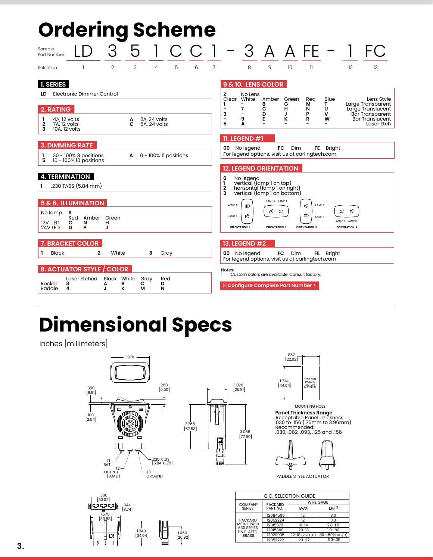| <b>Ordering Scheme</b>             |                                                                                                                                          |       |                        |                              |                              |                       |   |                |                                                            |                                              |                                                                                                                                                                            |                           |                                                                           |                          |                                                   |                                                                                                                        |
|------------------------------------|------------------------------------------------------------------------------------------------------------------------------------------|-------|------------------------|------------------------------|------------------------------|-----------------------|---|----------------|------------------------------------------------------------|----------------------------------------------|----------------------------------------------------------------------------------------------------------------------------------------------------------------------------|---------------------------|---------------------------------------------------------------------------|--------------------------|---------------------------------------------------|------------------------------------------------------------------------------------------------------------------------|
| Sample<br>Part Number              |                                                                                                                                          |       | З                      |                              |                              |                       |   |                |                                                            |                                              | $3$ A A FE - 1                                                                                                                                                             |                           |                                                                           |                          |                                                   |                                                                                                                        |
| Selection                          | 1                                                                                                                                        |       | 2                      | 3                            | 4                            | 5                     | 6 | $\overline{7}$ |                                                            | 8                                            | 9                                                                                                                                                                          | 10                        | 11                                                                        |                          | 12                                                | 13                                                                                                                     |
| <b>1. SERIES</b>                   |                                                                                                                                          |       |                        |                              |                              |                       |   |                |                                                            |                                              | 9 & 10. LENS COLOR                                                                                                                                                         |                           |                                                                           |                          |                                                   |                                                                                                                        |
| LD<br>2. RATING<br>1<br>2          | Electronic Dimmer Control<br>4A, 12 volts<br>7A, 12 volts                                                                                |       |                        | А<br>C                       | 2A, 24 volts<br>5A, 24 volts |                       |   |                | z<br>Clear<br>3<br>5                                       | No Lens<br>White<br>7<br>-<br>9<br>A         | Amber<br>в<br>с<br>D<br>Е                                                                                                                                                  | Green<br>G<br>н<br>J<br>к | Red<br>м<br>N<br>P<br>R                                                   | Blue<br>т<br>U<br>v<br>w |                                                   | Lens Style<br>Large Transparent<br>Large Translucent<br><b>Bar Transparent</b><br><b>Bar Translucent</b><br>Laser Etch |
| 3                                  | 10A, 12 volts                                                                                                                            |       |                        |                              |                              |                       |   |                |                                                            | <b>11. LEGEND #1</b>                         |                                                                                                                                                                            |                           |                                                                           |                          |                                                   |                                                                                                                        |
| ш                                  | <b>3. DIMMING RATE</b><br>30 - 100% 8 positions                                                                                          |       |                        | A                            |                              | 0 - 100% Il positions |   |                |                                                            | 00 No legend                                 | For legend options, visit us at carlingtech.com                                                                                                                            | FC<br>Dim                 |                                                                           | FE Bright                |                                                   |                                                                                                                        |
| 5<br>No lamp<br>12V LED<br>24V LED | 10 - 100% 10 positions<br><b>4. TERMINATION</b><br>.230 TABS (5.84 mm)<br><b>5 &amp; 6. ILLUMINATION</b><br>s<br>Red<br>с<br>N<br>D<br>P | Amber | Green<br>н<br>J        |                              |                              |                       |   |                | O<br>1<br>2<br>3<br>LAMP <sub>1</sub><br>LAMP <sub>2</sub> | No legend<br>ΞD<br>Ŕ<br><b>ORIENTATION 1</b> | <b>12. LEGEND ORIENTATION</b><br>vertical (lamp 1 on top)<br>horizontàl (lamp 1 on right)<br>vertical (lamp I on bottom)<br>LAMP 2 LAMP 1<br>ρ⊱ ≣D<br><b>ORIENTATION 2</b> |                           | LAMP <sub>2</sub><br>Ŕ<br>ΞD<br>LAMP <sub>1</sub><br><b>ORIENTATION 3</b> |                          | Æ<br>ED.<br>LAMP 1 LAMP 2<br><b>ORIENTATION 4</b> |                                                                                                                        |
| L<br>Black                         | <b>7. BRACKET COLOR</b>                                                                                                                  | 2     | White                  |                              | 3                            | Gray                  |   |                |                                                            | <b>13. LEGEND #2</b><br>00 No legend         | For legend options, visit us at carlingtech.com                                                                                                                            | FC<br><b>Dim</b>          | FE.                                                                       | <b>Bright</b>            |                                                   |                                                                                                                        |
| Rocker<br>Paddle                   | <b>8. ACTUATOR STYLE</b><br>Laser Etched<br>3<br>4                                                                                       |       | <b>COLOR</b><br>A<br>J | <b>Black White</b><br>в<br>ĸ | Gray<br>с<br>м               | Red<br>D<br>N         |   |                | Notes:                                                     |                                              | Custom colors are available. Consult factory.<br>ta Configure Complete Part Number >                                                                                       |                           |                                                                           |                          |                                                   |                                                                                                                        |

## **Dimensional Specs**

inches [millimeters]



.344 [8.74]

1.340 [34.04]

1.300 [33.02]

ਜ਼ੋ<br>1.570 [39.88]

> $\frac{1}{2}$  $\overline{103}$

 $\overline{1}$ 

 $\overline{\mathbf{3}}$ 



1.060 [26.92]

旧

П



MOUNTING HOLE **Panel Thickness Range<br>Acceptable Panel Thickness<br>.030 to .156 (.76mm to 3.96mm)<br>Recommended:<br>.030, .062, .093, .125 and .156** 



PADDLE STYLE ACTUATOR

| Q.C. SELECTION GUIDE                                                            |                |                  |                      |  |  |  |  |  |
|---------------------------------------------------------------------------------|----------------|------------------|----------------------|--|--|--|--|--|
| <b>COMPANY</b>                                                                  | <b>PACKARD</b> | <b>WIRE GAGE</b> |                      |  |  |  |  |  |
| <b>SERIES</b>                                                                   | PART NO.       | AWG              | MM <sup>2</sup>      |  |  |  |  |  |
| <b>PACKARD</b><br><b>METRI-PACK</b><br>630 SERIES<br>TIN PLATED<br><b>BRASS</b> | 12084590       | 12               | 3.0                  |  |  |  |  |  |
|                                                                                 | 12052224       | 12               | 3.0                  |  |  |  |  |  |
|                                                                                 | 12015870       | $16 - 14$        | $2.0 - 1.0$          |  |  |  |  |  |
|                                                                                 | 12015869       | $20 - 18$        | $1.0 - .80$          |  |  |  |  |  |
|                                                                                 | 12020035       | 22-18 (2 REQ'D)  | $.80 - .50(2$ REQ'D) |  |  |  |  |  |
|                                                                                 | 12052222       | $20 - 22$        | $.50 - .35$          |  |  |  |  |  |